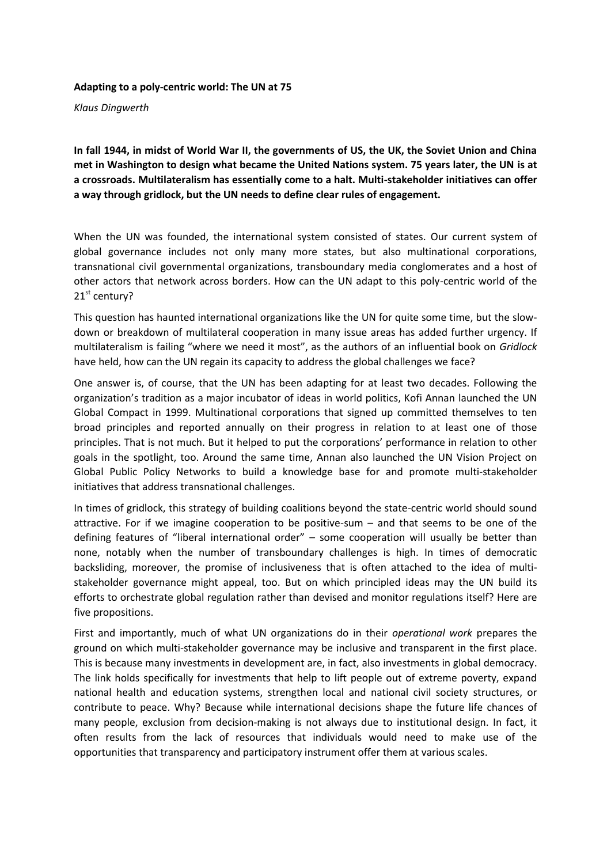**Adapting to a poly-centric world: The UN at 75**

*Klaus Dingwerth*

**In fall 1944, in midst of World War II, the governments of US, the UK, the Soviet Union and China met in Washington to design what became the United Nations system. 75 years later, the UN is at a crossroads. Multilateralism has essentially come to a halt. Multi-stakeholder initiatives can offer a way through gridlock, but the UN needs to define clear rules of engagement.** 

When the UN was founded, the international system consisted of states. Our current system of global governance includes not only many more states, but also multinational corporations, transnational civil governmental organizations, transboundary media conglomerates and a host of other actors that network across borders. How can the UN adapt to this poly-centric world of the 21<sup>st</sup> century?

This question has haunted international organizations like the UN for quite some time, but the slowdown or breakdown of multilateral cooperation in many issue areas has added further urgency. If multilateralism is failing "where we need it most", as the authors of an influential book on *Gridlock*  have held, how can the UN regain its capacity to address the global challenges we face?

One answer is, of course, that the UN has been adapting for at least two decades. Following the organization's tradition as a major incubator of ideas in world politics, Kofi Annan launched the UN Global Compact in 1999. Multinational corporations that signed up committed themselves to ten broad principles and reported annually on their progress in relation to at least one of those principles. That is not much. But it helped to put the corporations' performance in relation to other goals in the spotlight, too. Around the same time, Annan also launched the UN Vision Project on Global Public Policy Networks to build a knowledge base for and promote multi-stakeholder initiatives that address transnational challenges.

In times of gridlock, this strategy of building coalitions beyond the state-centric world should sound attractive. For if we imagine cooperation to be positive-sum – and that seems to be one of the defining features of "liberal international order" – some cooperation will usually be better than none, notably when the number of transboundary challenges is high. In times of democratic backsliding, moreover, the promise of inclusiveness that is often attached to the idea of multistakeholder governance might appeal, too. But on which principled ideas may the UN build its efforts to orchestrate global regulation rather than devised and monitor regulations itself? Here are five propositions.

First and importantly, much of what UN organizations do in their *operational work* prepares the ground on which multi-stakeholder governance may be inclusive and transparent in the first place. This is because many investments in development are, in fact, also investments in global democracy. The link holds specifically for investments that help to lift people out of extreme poverty, expand national health and education systems, strengthen local and national civil society structures, or contribute to peace. Why? Because while international decisions shape the future life chances of many people, exclusion from decision-making is not always due to institutional design. In fact, it often results from the lack of resources that individuals would need to make use of the opportunities that transparency and participatory instrument offer them at various scales.